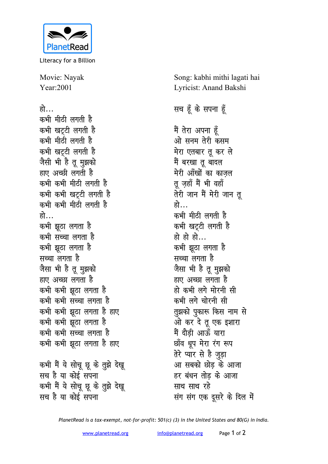

Literacy for a Billion

Movie: Nayak Year:2001

हो… कभी मीठी लगती है कभी खटटी लगती ह<del>ै</del> कभी मीठी लगती ह<del>ै</del> कभी खटटी लगती ह<del>ै</del> जैसी भी है तू मुझको हाए अच्छी लगती है कभी कभी मीठी लगती है कभी कभी खट्टी लगती ह<del>ै</del> कभी कभी मीठी लगती है हो… कभी झुठा लगता ह<del>ै</del> कभी सच्चा लगता ह<del>ै</del> कभी झूठा लगता ह<del>ै</del> **<del>सच्चा लगता है</del>** <u>जैसा भी है तू मूझको</u> हाए अच्छा लगता है कभी कभी झूठा लगता ह<del>ै</del> कभी कभी सच्चा लगता ह<del>ै</del> कभी कभी झूठा लगता है **हाए** कभी कभी झूठा लगता ह<del>ै</del> कभी कभी सच्चा लगता ह<del>ै</del> कभी कभी झूठा लगता है हाए कभी मैं ये सोच छू के तुझे देखू <u>सच है या कोई सपना</u> कभी मैं ये सोचू छू के तुझे देखू सच है या कोई सपना

Song: kabhi mithi lagati hai Lyricist: Anand Bakshi

## **सच हूँ के सपना हूँ**

मैं तेरा अपना ह<del>ैं</del> <u>ओ</u> सनम तेरी कसम <u>मेरा एतबार तू</u> कर ले मैं बरखा तू बादल मेरी आँखों का काजल तू ज़हाँ मैं भी वहाँ तेरी जान मैं मेरी जान त<u>ु</u> हो… कभी मीठी लगती है कभी खटटी लगती ह<del>ै</del> हो हो हो… कभी झूठा लगता ह<del>ै</del> सच्चा लगता है जैसा भी है तू मुझको हाए अच्छा लगता है हो कभी लगे मोरनी **सी** कभी लगे चोरनी **सी** तुझको पुकारू किस नाम से ओ कर दे तू एक इशारा मैं दौड़ी आर्<del>ऊ</del> यारा <u>छाँव धूप मेरा रंग रूप</u> <u>तेरे प्यार से है जुड़ा</u> आ सबको छोड के आजा हर बंधन तोड के आजा **साथ साथ रहे संग संग एक दूसरे के दिल में** 

*PlanetRead is a tax-exempt, not-for-profit: 501(c) (3) in the United States and 80(G) in India.*